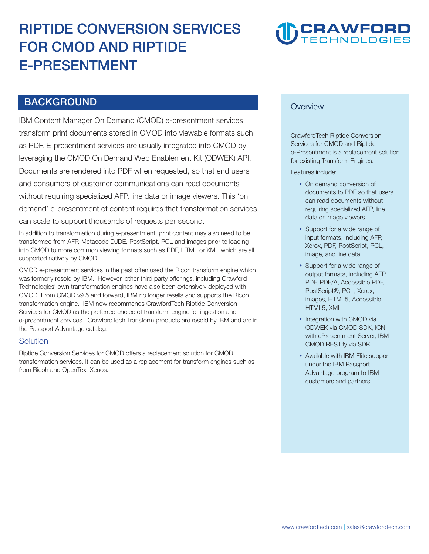# **RIPTIDE CONVERSION SERVICES FOR CMOD AND RIPTIDE E-PRESENTMENT**



# **BACKGROUND**

**IBM Content Manager On Demand (CMOD) e-presentment services transform print documents stored in CMOD into viewable formats such as PDF. E-presentment services are usually integrated into CMOD by leveraging the CMOD On Demand Web Enablement Kit (ODWEK) API. Documents are rendered into PDF when requested, so that end users and consumers of customer communications can read documents without requiring specialized AFP, line data or image viewers. This 'on demand' e-presentment of content requires that transformation services can scale to support thousands of requests per second.** 

**In addition to transformation during e-presentment, print content may also need to be transformed from AFP, Metacode DJDE, PostScript, PCL and images prior to loading into CMOD to more common viewing formats such as PDF, HTML or XML which are all supported natively by CMOD.** 

**CMOD e-presentment services in the past often used the Ricoh transform engine which was formerly resold by IBM. However, other third party offerings, including Crawford Technologies' own transformation engines have also been extensively deployed with CMOD. From CMOD v9.5 and forward, IBM no longer resells and supports the Ricoh transformation engine. IBM now recommends CrawfordTech Riptide Conversion Services for CMOD as the preferred choice of transform engine for ingestion and e-presentment services. CrawfordTech Transform products are resold by IBM and are in the Passport Advantage catalog.**

### **Solution**

**Riptide Conversion Services for CMOD offers a replacement solution for CMOD transformation services. It can be used as a replacement for transform engines such as from Ricoh and OpenText Xenos.** 

#### **Overview**

**CrawfordTech Riptide Conversion Services for CMOD and Riptide e-Presentment is a replacement solution for existing Transform Engines.**

**Features include:** 

- **On demand conversion of documents to PDF so that users can read documents without requiring specialized AFP, line data or image viewers**
- **Support for a wide range of input formats, including AFP, Xerox, PDF, PostScript, PCL, image, and line data**
- **Support for a wide range of output formats, including AFP, PDF, PDF/A, Accessible PDF, PostScript®, PCL, Xerox, images, HTML5, Accessible HTML5, XML**
- **Integration with CMOD via ODWEK via CMOD SDK, ICN with ePresentment Server, IBM CMOD RESTify via SDK**
- **Available with IBM Elite support under the IBM Passport Advantage program to IBM customers and partners**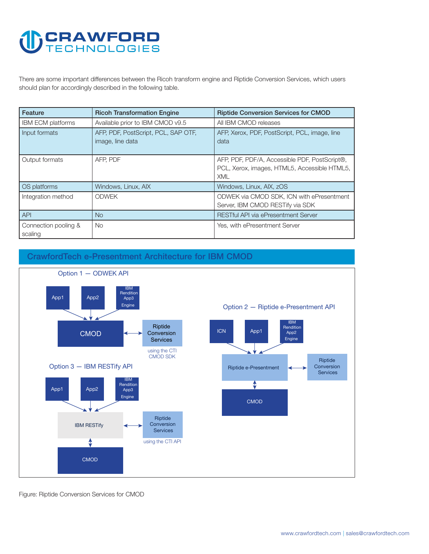# **CRAWFORD**

**There are some important differences between the Ricoh transform engine and Riptide Conversion Services, which users should plan for accordingly described in the following table.** 

| Feature                         | <b>Ricoh Transformation Engine</b>                      | <b>Riptide Conversion Services for CMOD</b>                                                                 |
|---------------------------------|---------------------------------------------------------|-------------------------------------------------------------------------------------------------------------|
| <b>IBM ECM platforms</b>        | Available prior to IBM CMOD v9.5                        | All IBM CMOD releases                                                                                       |
| Input formats                   | AFP, PDF, PostScript, PCL, SAP OTF,<br>image, line data | AFP, Xerox, PDF, PostScript, PCL, image, line<br>data                                                       |
| Output formats                  | AFP. PDF                                                | AFP, PDF, PDF/A, Accessible PDF, PostScript®,<br>PCL, Xerox, images, HTML5, Accessible HTML5,<br><b>XML</b> |
| OS platforms                    | Windows, Linux, AIX                                     | Windows, Linux, AIX, zOS                                                                                    |
| Integration method              | <b>ODWEK</b>                                            | ODWEK via CMOD SDK, ICN with ePresentment<br>Server, IBM CMOD RESTify via SDK                               |
| <b>API</b>                      | No.                                                     | <b>RESTful API via ePresentment Server</b>                                                                  |
| Connection pooling &<br>scaling | No.                                                     | Yes, with ePresentment Server                                                                               |



**CrawfordTech e-Presentment Architecture for IBM CMOD** 

**Figure: Riptide Conversion Services for CMOD**